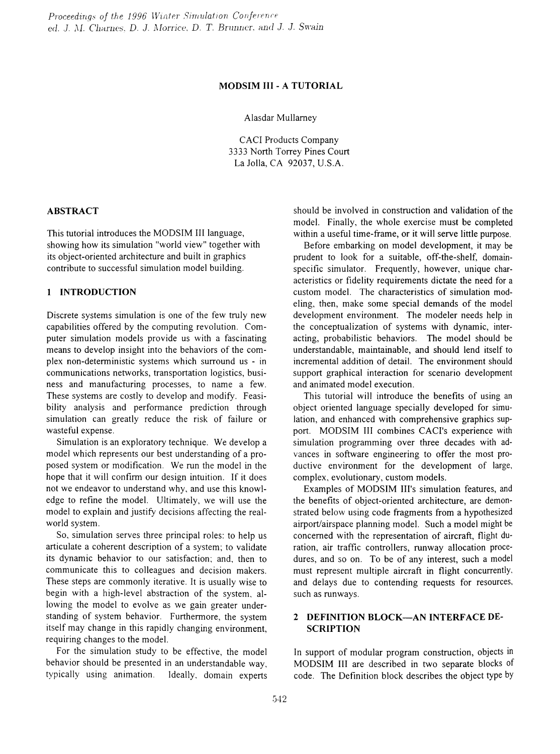#### MODSIM III - A TUTORIAL

Alasdar Mullarney

CACI Products Company 3333 North Torrey Pines Court La Jolla, CA 92037, U.S.A.

#### ABSTRACT

This tutorial introduces the MODS1M III language, showing how its simulation "world view" together with its object-oriented architecture and built in graphics contribute to successful simulation model building.

#### 1 INTRODUCTION

Discrete systems simulation is one of the few truly new capabilities offered by the computing revolution. Computer simulation models provide us with a fascinating means to develop insight into the behaviors of the complex non-deterministic systems which surround us - in communications networks, transportation logistics, business and manufacturing processes, to name a few. These systems are costly to develop and modify. Feasibility analysis and performance prediction through simulation can greatly reduce the risk of failure or wasteful expense.

Simulation is an exploratory technique. We develop a model which represents our best understanding of a proposed system or modification. We run the model in the hope that it will confirm our design intuition. If it does not we endeavor to understand why, and use this knowledge to refme the model. Ultimately, we will use the model to explain and justify decisions affecting the realworld system.

So, simulation serves three principal roles: to help us articulate a coherent description of a system; to validate its dynamic behavior to our satisfaction; and, then to communicate this to colleagues and decision makers. These steps are commonly iterative. It is usually wise to begin with a high-level abstraction of the system, allowing the model to evolve as we gain greater understanding of system behavior. Furthermore, the system itself may change in this rapidly changing environment, requiring changes to the model.

For the simulation study to be effective, the model behavior should be presented in an understandable way, typically using animation. Ideally, domain experts should be involved in construction and validation of the model. Finally, the whole exercise must be completed within a useful time-frame, or it will serve little purpose.

Before embarking on model development, it may be prudent to look for a suitable, off-the-shelf, domainspecific simulator. Frequently, however, unique characteristics or fidelity requirements dictate the need for a custom model. The characteristics of simulation modeling, then, make some special demands of the model development environment. The modeler needs help in the conceptualization of systems with dynamic, interacting, probabilistic behaviors. The model should be understandable, maintainable, and should lend itself to incremental addition of detail. The environment should support graphical interaction for scenario development and animated model execution.

This tutorial will introduce the benefits of using an object oriented language specially developed for simulation, and enhanced with comprehensive graphics support. MODSIM III combines CACI's experience with simulation programming over three decades with advances in software engineering to offer the most productive environment for the development of large, complex, evolutionary, custom models.

Examples of MODSIM Ill's simulation features, and the benefits of object-oriented architecture, are demonstrated below using code fragments from a hypothesized airport/airspace planning model. Such a model might be concerned with the representation of aircraft, flight duration, air traffic controllers, runway allocation procedures, and so on. To be of any interest, such a model must represent multiple aircraft in flight concurrently, and delays due to contending requests for resources, such as runways.

# 2 DEFINITION BLOCK-AN INTERFACE DE-**SCRIPTION**

In support of modular program construction, objects in MODSIM III are described in two separate blocks of code. The Defmition block describes the object type by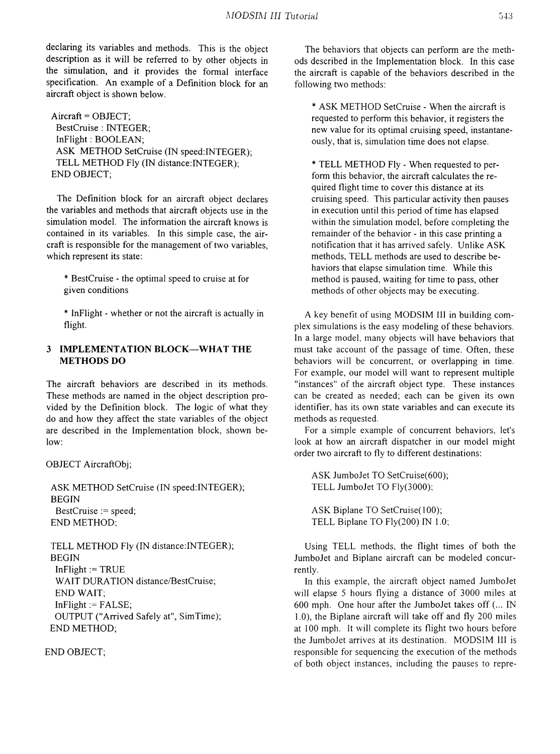declaring its variables and methods. This is the object description as it will be referred to by other objects in the simulation, and it provides the formal interface specification. An example of a Defmition block for an aircraft object is shown below.

 $A \text{ircraft} = \text{OBIECT}$ ; BestCruise: INTEGER; InFlight : BOOLEAN; ASK METHOD SetCruise (IN speed:INTEGER); TELL METHOD Fly (IN distance:INTEGER); END OBJECT;

The Defmition block for an aircraft object declares the variables and methods that aircraft objects use in the simulation model. The information the aircraft knows is contained in its variables. In this simple case, the aircraft is responsible for the management of two variables, which represent its state:

\* BestCruise - the optimal speed to cruise at for given conditions

\* InFlight - whether or not the aircraft is actually in flight.

## 3 IMPLEMENTATION BLOCK-WHAT THE METHODS DO

The aircraft behaviors are described in its methods. These methods are named in the object description provided by the Definition block. The logic of what they do and how they affect the state variables of the object are described in the Implementation block, shown below:

OBJECT AircraftObj;

ASK METHOD SetCruise (IN speed:INTEGER); BEGIN BestCruise := speed; END METHOD;

TELL METHOD Fly (IN distance:INTEGER); BEGIN  $In Flight := TRUE$ WAIT DURATION distance/BestCruise; END WAIT;  $In Flight := FALSE;$ OUTPUT ("Arrived Safely at", SimTime); END METHOD;

END OBJECT;

The behaviors that objects can perform are the methods described in the Implementation block. In this case the aircraft is capable of the behaviors described in the following two methods:

\* ASK METHOD SetCruise - When the aircraft is requested to perform this behavior, it registers the new value for its optimal cruising speed, instantaneously, that is, simulation time does not elapse.

\* TELL METHOD Fly - When requested to perform this behavior, the aircraft calculates the required flight time to cover this distance at its cruising speed. This particular activity then pauses in execution until this period of time has elapsed within the simulation model, before completing the remainder of the behavior - in this case printing a notification that it has arrived safely. Unlike ASK methods, TELL methods are used to describe behaviors that elapse simulation time. While this method is paused, waiting for time to pass, other methods of other objects may be executing.

A key benefit of using MODSIM III in building complex simulations is the easy modeling of these behaviors. In a large model, many objects will have behaviors that must take account of the passage of time. Often, these behaviors will be concurrent, or overlapping in time. For example, our model will want to represent multiple "instances" of the aircraft object type. These instances can be created as needed; each can be given its own identifier, has its own state variables and can execute its methods as requested.

For a simple example of concurrent behaviors, let's look at how an aircraft dispatcher in our model might order two aircraft to fly to different destinations:

ASK JumboJet TO SetCruise(600); TELL JumboJet TO Fly(3000);

ASK Biplane TO SetCruise(100); TELL Biplane TO Fly(200) IN 1.0;

Using TELL methods, the flight times of both the JumboJet and Biplane aircraft can be modeled concurrently.

In this example, the aircraft object named JumboJet will elapse 5 hours flying a distance of 3000 miles at 600 mph. One hour after the JumboJet takes off (... IN 1.0), the Biplane aircraft will take off and fly 200 miles at 100 mph. It will complete its flight two hours before the JumboJet arrives at its destination. MODSIM III is responsible for sequencing the execution of the methods of both object instances, including the pauses to repre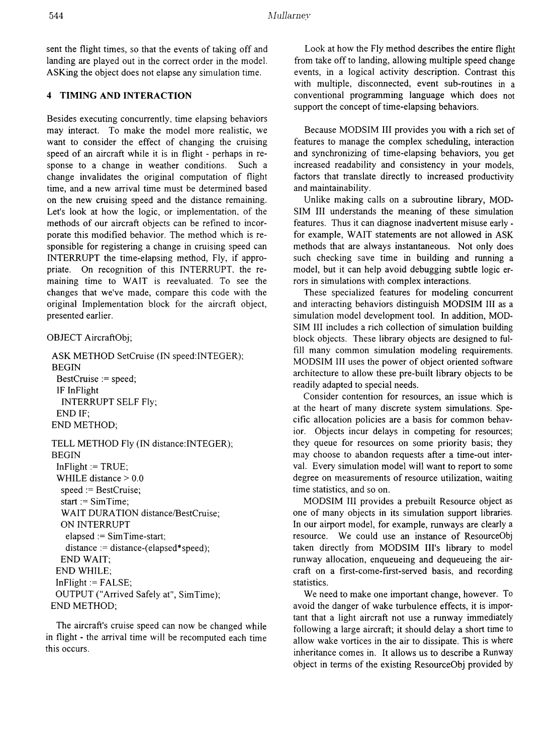sent the flight times, so that the events of taking off and landing are played out in the correct order in the model. ASKing the object does not elapse any simulation time.

## 4 TIMING AND INTERACTION

Besides executing concurrently, time elapsing behaviors may interact. To make the model more realistic, we want to consider the effect of changing the cruising speed of an aircraft while it is in flight - perhaps in response to a change in weather conditions. Such a change invalidates the original computation of flight time, and a new arrival time must be determined based on the new cruising speed and the distance remaining. Let's look at how the logic, or implementation, of the methods of our aircraft objects can be refmed to incorporate this modified behavior. The method which is responsible for registering a change in cruising speed can INTERRUPT the time-elapsing method, Fly, if appropriate. On recognition of this INTERRUPT, the remaining time to WAIT is reevaluated. To see the changes that we've made, compare this code with the original Implementation block for the aircraft object, presented earlier.

OBJECT AircraftObj;

ASK METHOD SetCruise (IN speed:INTEGER); BEGIN BestCruise := speed; IF InFlight INTERRUPT SELF Fly; END IF; END METHOD;

TELL METHOD Fly (IN distance:INTEGER); BEGIN  $In Flight := TRUE;$ WHILE distance  $> 0.0$ speed := BestCruise; start := SimTime; WAIT DURATION distance/BestCruise; ON INTERRUPT elapsed := SimTime-start; distance := distance-(elapsed\*speed); END WAIT; END WHILE;  $InFlight := FALSE;$ OUTPUT ("Arrived Safely at", SimTime); END METHOD;

The aircraft's cruise speed can now be changed while in flight - the arrival time will be recomputed each time this occurs.

Look at how the Fly method describes the entire flight from take off to landing, allowing multiple speed change events, in a logical activity description. Contrast this with multiple, disconnected, event sub-routines in a conventional programming language which does not support the concept of time-elapsing behaviors.

Because MODSIM III provides you with a rich set of features to manage the complex scheduling, interaction and synchronizing of time-elapsing behaviors, you get increased readability and consistency in your models, factors that translate directly to increased productivity and maintainability.

Unlike making calls on a subroutine library, MOD-SIM III understands the meaning of these simulation features. Thus it can diagnose inadvertent misuse early for example, WAIT statements are not allowed in ASK methods that are always instantaneous. Not only does such checking save time in building and running a model, but it can help avoid debugging subtle logic errors in simulations with complex interactions.

These specialized features for modeling concurrent and interacting behaviors distinguish MODS1M III as a simulation model development tool. In addition, MOD-SIM III includes a rich collection of simulation building block objects. These library objects are designed to fulfill many common simulation modeling requirements. MODSIM III uses the power of object oriented software architecture to allow these pre-built library objects to be readily adapted to special needs.

Consider contention for resources, an issue which is at the heart of many discrete system simulations. Specific allocation policies are a basis for common behavior. Objects incur delays in competing for resources; they queue for resources on some priority basis; they may choose to abandon requests after a time-out interval. Every simulation model will want to report to some degree on measurements of resource utilization, waiting time statistics, and so on.

MODSIM III provides a prebuilt Resource object as one of many objects in its simulation support libraries. In our airport model, for example, runways are clearly a resource. We could use an instance of ResourceObj taken directly from MODSIM Ill's library to model runway allocation, enqueueing and dequeueing the aircraft on a frrst-come-frrst-served basis, and recording statistics.

We need to make one important change, however. To avoid the danger of wake turbulence effects, it is important that a light aircraft not use a runway immediately following a large aircraft; it should delay a short time to allow wake vortices in the air to dissipate. This is where inheritance comes in. It allows us to describe a Runway object in terms of the existing ResourceObj provided by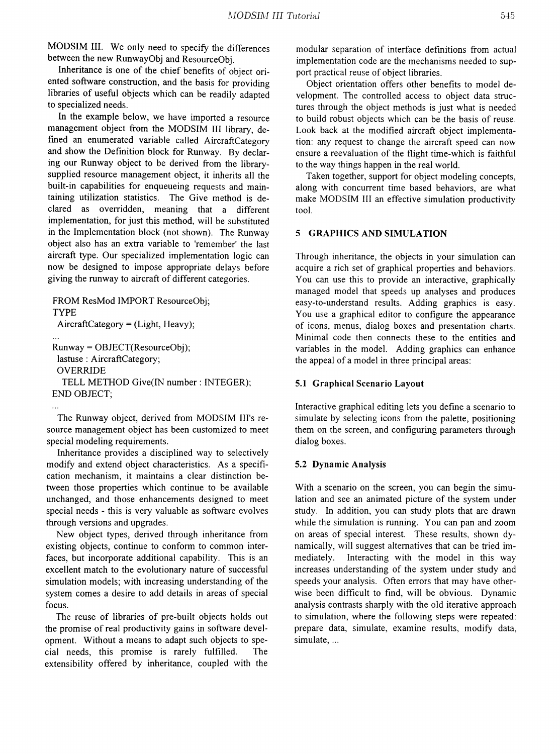MODSIM III. We only need to specify the differences between the new RunwayObj and ResourceObj.

Inheritance is one of the chief benefits of object oriented software construction, and the basis for providing libraries of useful objects which can be readily adapted to specialized needs.

In the example below, we have imported a resource management object from the MODSIM III library, defined an enumerated variable called AircraftCategory and show the Definition block for Runway. By declaring our Runway object to be derived from the librarysupplied resource management object, it inherits all the built-in capabilities for enqueueing requests and maintaining utilization statistics. The Give method is declared as overridden, meaning that a different implementation, for just this method, will be substituted in the Implementation block (not shown). The Runway object also has an extra variable to 'remember' the last aircraft type. Our specialized implementation logic can now be designed to impose appropriate delays before giving the runway to aircraft of different categories.

FROM ResMod IMPORT ResourceObj; TYPE  $AircraftCategory = (Light, Heavy);$ Runway = OBJECT(ResourceObj); lastuse : AircraftCategory; OVERRIDE TELL METHOD Give(IN number : INTEGER); END OBJECT;  $\ddotsc$ 

The Runway object, derived from MODSIM Ill's resource management object has been customized to meet special modeling requirements.

Inheritance provides a disciplined way to selectively modify and extend object characteristics. As a specification mechanism, it maintains a clear distinction between those properties which continue to be available unchanged, and those enhancements designed to meet special needs - this is very valuable as software evolves through versions and upgrades.

New object types, derived through inheritance from existing objects, continue to conform to common interfaces, but incorporate additional capability. This is an excellent match to the evolutionary nature of successful simulation models; with increasing understanding of the system comes a desire to add details in areas of special focus.

The reuse of libraries of pre-built objects holds out the promise of real productivity gains in software development. Without a means to adapt such objects to special needs, this promise is rarely fulfilled. The extensibility offered by inheritance, coupled with the modular separation of interface defmitions from actual implementation code are the mechanisms needed to support practical reuse of object libraries.

Object orientation offers other benefits to model development. The controlled access to object data structures through the object methods is just what is needed to build robust objects which can be the basis of reuse. Look back at the modified aircraft object implementation: any request to change the aircraft speed can now ensure a reevaluation of the flight time-which is faithful to the way things happen in the real world.

Taken together, support for object modeling concepts, along with concurrent time based behaviors, are what make MODSIM III an effective simulation productivity tool.

### 5 GRAPHICS AND SIMULATION

Through inheritance, the objects in your simulation can acquire a rich set of graphical properties and behaviors. You can use this to provide an interactive, graphically managed model that speeds up analyses and produces easy-to-understand results. Adding graphics is easy. You use a graphical editor to configure the appearance of icons, menus, dialog boxes and presentation charts. Minimal code then connects these to the entities and variables in the model. Adding graphics can enhance the appeal of a model in three principal areas:

### 5.1 Graphical Scenario Layout

Interactive graphical editing lets you defme a scenario to simulate by selecting icons from the palette, positioning them on the screen, and configuring parameters through dialog boxes.

#### 5.2 Dynamic Analysis

With a scenario on the screen, you can begin the simulation and see an animated picture of the system under study. In addition, you can study plots that are drawn while the simulation is running. You can pan and zoom on areas of special interest. These results, shown dynamically, will suggest alternatives that can be tried immediately. Interacting with the model in this way increases understanding of the system under study and speeds your analysis. Often errors that may have otherwise been difficult to find, will be obvious. Dynamic analysis contrasts sharply with the old iterative approach to simulation, where the following steps were repeated: prepare data, simulate, examine results, modify data, simulate, ...